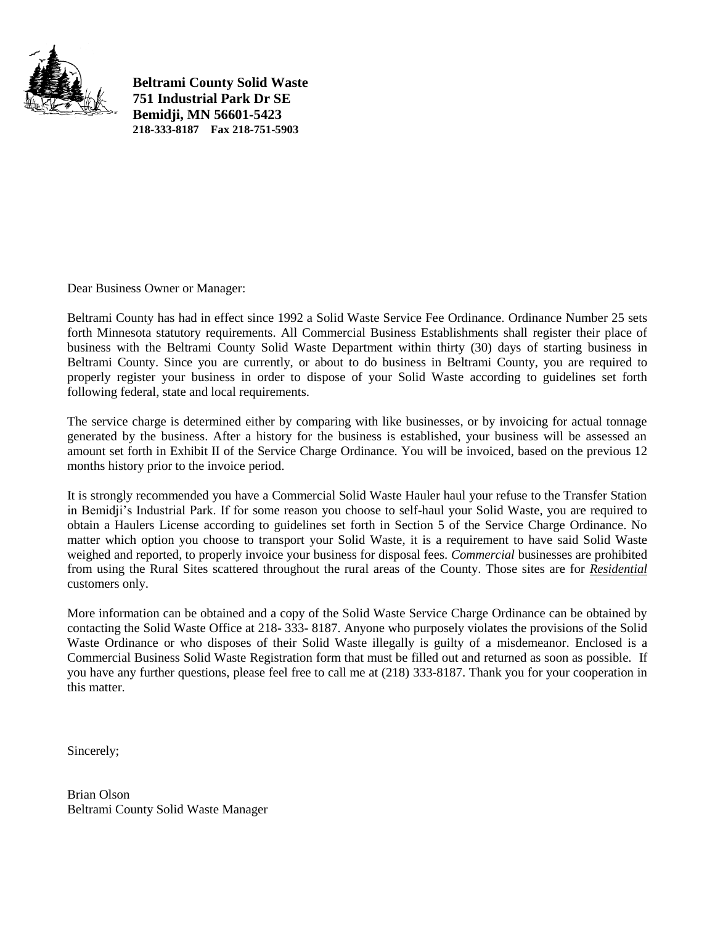

**Beltrami County Solid Waste 751 Industrial Park Dr SE Bemidji, MN 56601-5423 218-333-8187 Fax 218-751-5903**

Dear Business Owner or Manager:

Beltrami County has had in effect since 1992 a Solid Waste Service Fee Ordinance. Ordinance Number 25 sets forth Minnesota statutory requirements. All Commercial Business Establishments shall register their place of business with the Beltrami County Solid Waste Department within thirty (30) days of starting business in Beltrami County. Since you are currently, or about to do business in Beltrami County, you are required to properly register your business in order to dispose of your Solid Waste according to guidelines set forth following federal, state and local requirements.

The service charge is determined either by comparing with like businesses, or by invoicing for actual tonnage generated by the business. After a history for the business is established, your business will be assessed an amount set forth in Exhibit II of the Service Charge Ordinance. You will be invoiced, based on the previous 12 months history prior to the invoice period.

It is strongly recommended you have a Commercial Solid Waste Hauler haul your refuse to the Transfer Station in Bemidji's Industrial Park. If for some reason you choose to self-haul your Solid Waste, you are required to obtain a Haulers License according to guidelines set forth in Section 5 of the Service Charge Ordinance. No matter which option you choose to transport your Solid Waste, it is a requirement to have said Solid Waste weighed and reported, to properly invoice your business for disposal fees. *Commercial* businesses are prohibited from using the Rural Sites scattered throughout the rural areas of the County. Those sites are for *Residential* customers only.

More information can be obtained and a copy of the Solid Waste Service Charge Ordinance can be obtained by contacting the Solid Waste Office at 218- 333- 8187. Anyone who purposely violates the provisions of the Solid Waste Ordinance or who disposes of their Solid Waste illegally is guilty of a misdemeanor. Enclosed is a Commercial Business Solid Waste Registration form that must be filled out and returned as soon as possible. If you have any further questions, please feel free to call me at (218) 333-8187. Thank you for your cooperation in this matter.

Sincerely;

Brian Olson Beltrami County Solid Waste Manager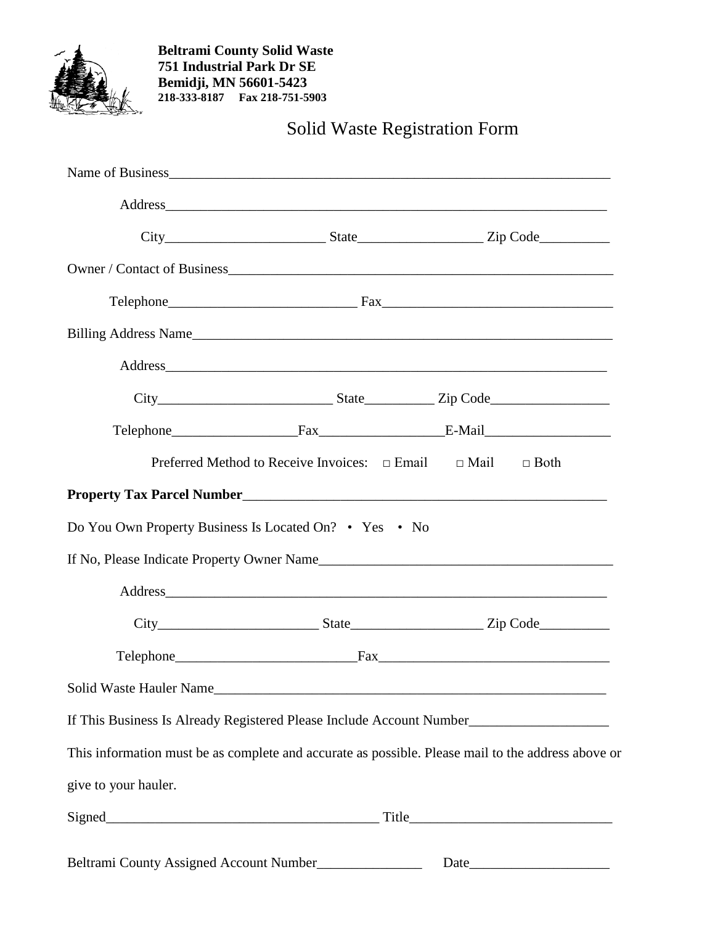

**Beltrami County Solid Waste 751 Industrial Park Dr SE Bemidji, MN 56601-5423 218-333-8187 Fax 218-751-5903**

Solid Waste Registration Form

|                                                         |                                                                            | Address experience and the set of the set of the set of the set of the set of the set of the set of the set of the set of the set of the set of the set of the set of the set of the set of the set of the set of the set of t |
|---------------------------------------------------------|----------------------------------------------------------------------------|--------------------------------------------------------------------------------------------------------------------------------------------------------------------------------------------------------------------------------|
|                                                         |                                                                            |                                                                                                                                                                                                                                |
|                                                         |                                                                            |                                                                                                                                                                                                                                |
|                                                         |                                                                            |                                                                                                                                                                                                                                |
|                                                         |                                                                            | Billing Address Name                                                                                                                                                                                                           |
|                                                         |                                                                            |                                                                                                                                                                                                                                |
|                                                         |                                                                            | $City$ $City$ $State$ $Line$ $Zip Code$ $Line$                                                                                                                                                                                 |
|                                                         |                                                                            |                                                                                                                                                                                                                                |
|                                                         | Preferred Method to Receive Invoices: $\Box$ Email $\Box$ Mail $\Box$ Both |                                                                                                                                                                                                                                |
|                                                         |                                                                            |                                                                                                                                                                                                                                |
| Do You Own Property Business Is Located On? • Yes • No  |                                                                            |                                                                                                                                                                                                                                |
|                                                         |                                                                            | If No, Please Indicate Property Owner Name                                                                                                                                                                                     |
|                                                         |                                                                            |                                                                                                                                                                                                                                |
|                                                         |                                                                            | $City$ $City$ $State$ $State$ $Zip Code$                                                                                                                                                                                       |
|                                                         |                                                                            |                                                                                                                                                                                                                                |
|                                                         |                                                                            | Solid Waste Hauler Name                                                                                                                                                                                                        |
|                                                         |                                                                            | If This Business Is Already Registered Please Include Account Number                                                                                                                                                           |
|                                                         |                                                                            | This information must be as complete and accurate as possible. Please mail to the address above or                                                                                                                             |
| give to your hauler.                                    |                                                                            |                                                                                                                                                                                                                                |
|                                                         |                                                                            |                                                                                                                                                                                                                                |
| Beltrami County Assigned Account Number________________ |                                                                            |                                                                                                                                                                                                                                |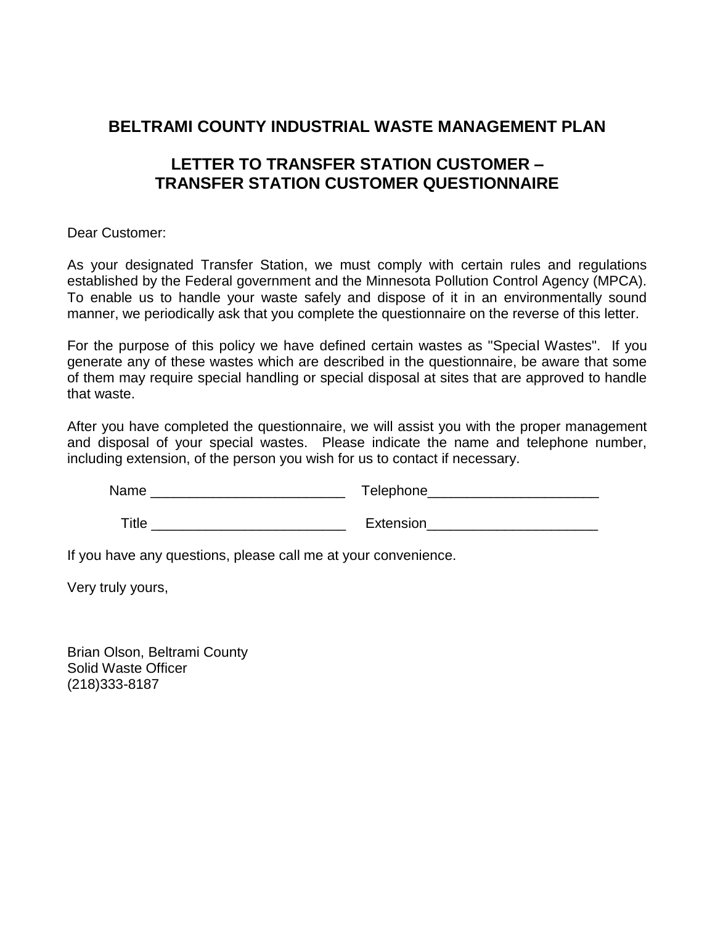## **BELTRAMI COUNTY INDUSTRIAL WASTE MANAGEMENT PLAN**

## **LETTER TO TRANSFER STATION CUSTOMER – TRANSFER STATION CUSTOMER QUESTIONNAIRE**

Dear Customer:

As your designated Transfer Station, we must comply with certain rules and regulations established by the Federal government and the Minnesota Pollution Control Agency (MPCA). To enable us to handle your waste safely and dispose of it in an environmentally sound manner, we periodically ask that you complete the questionnaire on the reverse of this letter.

For the purpose of this policy we have defined certain wastes as "Special Wastes". If you generate any of these wastes which are described in the questionnaire, be aware that some of them may require special handling or special disposal at sites that are approved to handle that waste.

After you have completed the questionnaire, we will assist you with the proper management and disposal of your special wastes. Please indicate the name and telephone number, including extension, of the person you wish for us to contact if necessary.

| Name  | Telephone_ |
|-------|------------|
| Title | Extension  |

If you have any questions, please call me at your convenience.

Very truly yours,

Brian Olson, Beltrami County Solid Waste Officer (218)333-8187